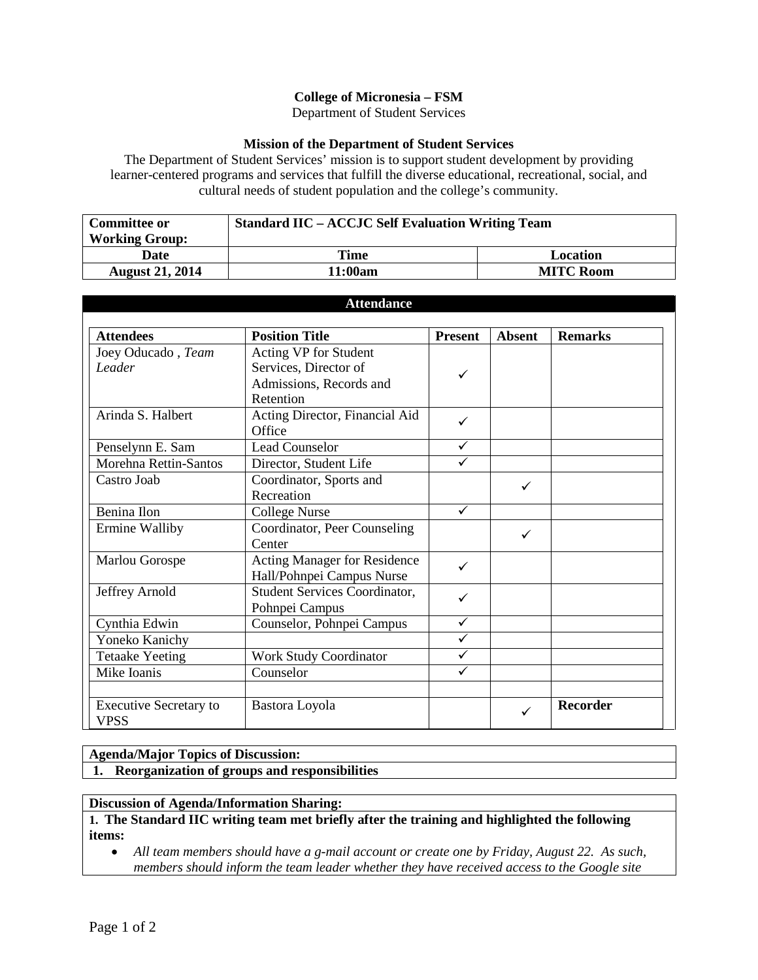## **College of Micronesia – FSM**

Department of Student Services

## **Mission of the Department of Student Services**

The Department of Student Services' mission is to support student development by providing learner-centered programs and services that fulfill the diverse educational, recreational, social, and cultural needs of student population and the college's community.

| <b>Committee or</b>    | <b>Standard IIC – ACCJC Self Evaluation Writing Team</b> |                  |  |
|------------------------|----------------------------------------------------------|------------------|--|
| <b>Working Group:</b>  |                                                          |                  |  |
| <b>Date</b>            | Time                                                     | Location         |  |
| <b>August 21, 2014</b> | 11:00am                                                  | <b>MITC Room</b> |  |

| <b>Attendance</b>                     |                                                                                        |                |               |                 |  |
|---------------------------------------|----------------------------------------------------------------------------------------|----------------|---------------|-----------------|--|
| <b>Attendees</b>                      | <b>Position Title</b>                                                                  | <b>Present</b> | <b>Absent</b> | <b>Remarks</b>  |  |
| Joey Oducado, Team<br>Leader          | Acting VP for Student<br>Services, Director of<br>Admissions, Records and<br>Retention | ✓              |               |                 |  |
| Arinda S. Halbert                     | Acting Director, Financial Aid<br>Office                                               | ✓              |               |                 |  |
| Penselynn E. Sam                      | <b>Lead Counselor</b>                                                                  | ✓              |               |                 |  |
| Morehna Rettin-Santos                 | Director, Student Life                                                                 | ✓              |               |                 |  |
| Castro Joab                           | Coordinator, Sports and<br>Recreation                                                  |                | ✓             |                 |  |
| Benina Ilon                           | <b>College Nurse</b>                                                                   | ✓              |               |                 |  |
| Ermine Walliby                        | Coordinator, Peer Counseling<br>Center                                                 |                | ✓             |                 |  |
| Marlou Gorospe                        | <b>Acting Manager for Residence</b><br>Hall/Pohnpei Campus Nurse                       | ✓              |               |                 |  |
| Jeffrey Arnold                        | Student Services Coordinator,<br>Pohnpei Campus                                        | ✓              |               |                 |  |
| Cynthia Edwin                         | Counselor, Pohnpei Campus                                                              | $\checkmark$   |               |                 |  |
| Yoneko Kanichy                        |                                                                                        | ✓              |               |                 |  |
| <b>Tetaake Yeeting</b>                | <b>Work Study Coordinator</b>                                                          | ✓              |               |                 |  |
| Mike Ioanis                           | Counselor                                                                              |                |               |                 |  |
| <b>Executive Secretary to</b><br>VPSS | Bastora Loyola                                                                         |                | ✓             | <b>Recorder</b> |  |

## **Agenda/Major Topics of Discussion:**

**1. Reorganization of groups and responsibilities**

## **Discussion of Agenda/Information Sharing:**

**1. The Standard IIC writing team met briefly after the training and highlighted the following items:**

• *All team members should have a g-mail account or create one by Friday, August 22. As such, members should inform the team leader whether they have received access to the Google site*